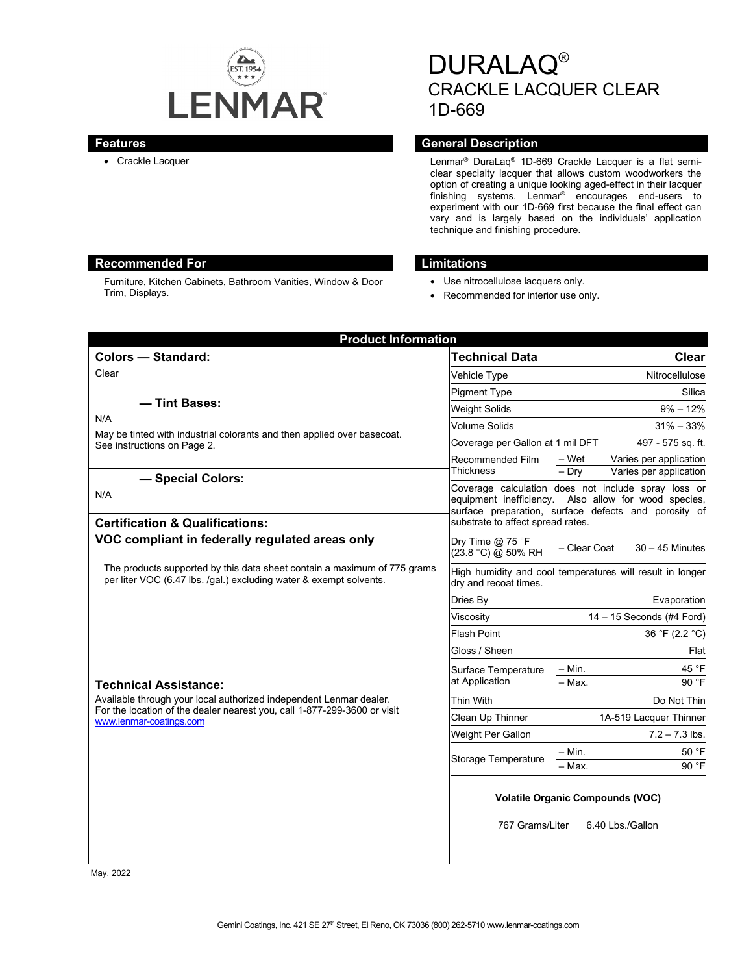

# DURALAQ® CRACKLE LACQUER CLEAR 1D-669

## **Features General Description**

• Crackle Lacquer **Lenmar®** DuraLaq<sup>®</sup> 1D-669 Crackle Lacquer is a flat semiclear specialty lacquer that allows custom woodworkers the option of creating a unique looking aged-effect in their lacquer finishing systems. Lenmar<sup>®</sup> encourages end-users to experiment with our 1D-669 first because the final effect can vary and is largely based on the individuals' application technique and finishing procedure.

# **Recommended For Limitations**

Furniture, Kitchen Cabinets, Bathroom Vanities, Window & Door Trim, Displays.

- Use nitrocellulose lacquers only.
- Recommended for interior use only.

| <b>Product Information</b>                                                                                                                                                |                                                                                    |                                                                                                                                                                     |
|---------------------------------------------------------------------------------------------------------------------------------------------------------------------------|------------------------------------------------------------------------------------|---------------------------------------------------------------------------------------------------------------------------------------------------------------------|
| <b>Colors - Standard:</b>                                                                                                                                                 | <b>Technical Data</b>                                                              | Clear                                                                                                                                                               |
| Clear                                                                                                                                                                     | Vehicle Type                                                                       | Nitrocellulose                                                                                                                                                      |
|                                                                                                                                                                           | <b>Pigment Type</b>                                                                | Silica                                                                                                                                                              |
| - Tint Bases:                                                                                                                                                             | <b>Weight Solids</b>                                                               | $9\% - 12\%$                                                                                                                                                        |
| N/A<br>May be tinted with industrial colorants and then applied over basecoat.<br>See instructions on Page 2.                                                             | <b>Volume Solids</b>                                                               | $31\% - 33\%$                                                                                                                                                       |
|                                                                                                                                                                           | Coverage per Gallon at 1 mil DFT                                                   | 497 - 575 sq. ft.                                                                                                                                                   |
|                                                                                                                                                                           | Recommended Film<br><b>Thickness</b>                                               | – Wet<br>Varies per application<br>Varies per application<br>$-$ Dry                                                                                                |
| - Special Colors:<br>N/A                                                                                                                                                  |                                                                                    | Coverage calculation does not include spray loss or<br>equipment inefficiency. Also allow for wood species,<br>surface preparation, surface defects and porosity of |
| <b>Certification &amp; Qualifications:</b>                                                                                                                                | substrate to affect spread rates.                                                  |                                                                                                                                                                     |
| VOC compliant in federally regulated areas only                                                                                                                           | Dry Time @ 75 °F<br>(23.8 °C) @ 50% RH                                             | - Clear Coat<br>$30 - 45$ Minutes                                                                                                                                   |
| The products supported by this data sheet contain a maximum of 775 grams<br>per liter VOC (6.47 lbs. /gal.) excluding water & exempt solvents.                            | High humidity and cool temperatures will result in longer<br>dry and recoat times. |                                                                                                                                                                     |
|                                                                                                                                                                           | Dries Bv                                                                           | Evaporation                                                                                                                                                         |
|                                                                                                                                                                           | Viscosity                                                                          | 14 - 15 Seconds (#4 Ford)                                                                                                                                           |
|                                                                                                                                                                           | <b>Flash Point</b>                                                                 | 36 °F (2.2 °C)                                                                                                                                                      |
|                                                                                                                                                                           | Gloss / Sheen                                                                      | Flat                                                                                                                                                                |
|                                                                                                                                                                           | Surface Temperature                                                                | 45 °F<br>– Min.                                                                                                                                                     |
| <b>Technical Assistance:</b>                                                                                                                                              | at Application                                                                     | $-$ Max.<br>90 °F                                                                                                                                                   |
| Available through your local authorized independent Lenmar dealer.<br>For the location of the dealer nearest you, call 1-877-299-3600 or visit<br>www.lenmar-coatings.com | Thin With                                                                          | Do Not Thin                                                                                                                                                         |
|                                                                                                                                                                           | Clean Up Thinner                                                                   | 1A-519 Lacquer Thinner                                                                                                                                              |
|                                                                                                                                                                           | Weight Per Gallon                                                                  | $7.2 - 7.3$ lbs.                                                                                                                                                    |
|                                                                                                                                                                           | <b>Storage Temperature</b>                                                         | 50 °F<br>$-$ Min.                                                                                                                                                   |
|                                                                                                                                                                           |                                                                                    | 90 °F<br>- Max.                                                                                                                                                     |
|                                                                                                                                                                           | <b>Volatile Organic Compounds (VOC)</b>                                            |                                                                                                                                                                     |
|                                                                                                                                                                           | 767 Grams/Liter                                                                    | 6.40 Lbs./Gallon                                                                                                                                                    |

May, 2022